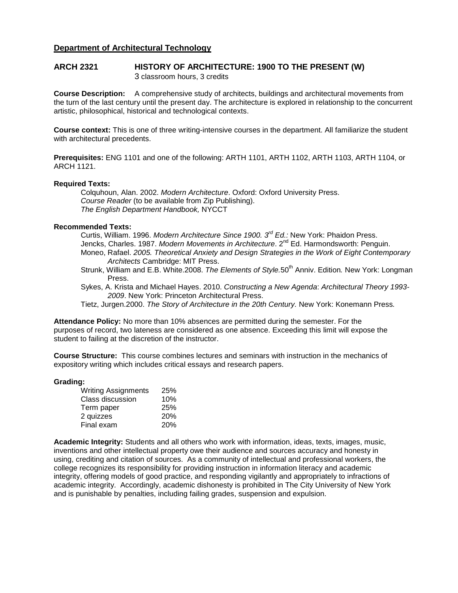# **Department of Architectural Technology**

### **ARCH 2321 HISTORY OF ARCHITECTURE: 1900 TO THE PRESENT (W)** 3 classroom hours, 3 credits

**Course Description:** A comprehensive study of architects, buildings and architectural movements from the turn of the last century until the present day. The architecture is explored in relationship to the concurrent artistic, philosophical, historical and technological contexts.

**Course context:** This is one of three writing-intensive courses in the department. All familiarize the student with architectural precedents.

**Prerequisites:** ENG 1101 and one of the following: ARTH 1101, ARTH 1102, ARTH 1103, ARTH 1104, or ARCH 1121.

### **Required Texts:**

Colquhoun, Alan. 2002. *Modern Architecture*. Oxford: Oxford University Press. *Course Reader* (to be available from Zip Publishing). *The English Department Handbook,* NYCCT

#### **Recommended Texts:**

Curtis, William. 1996. *Modern Architecture Since 1900. 3rd Ed.:* New York: Phaidon Press. Jencks, Charles. 1987. *Modern Movements in Architecture*. 2nd Ed. Harmondsworth: Penguin. Moneo, Rafael. *2005. Theoretical Anxiety and Design Strategies in the Work of Eight Contemporary Architects* Cambridge: MIT Press.

- Strunk, William and E.B. White.2008. *The Elements of Style.*50th Anniv. Edition*.* New York: Longman Press.
- Sykes, A. Krista and Michael Hayes. 2010. *Constructing a New Agenda*: *Architectural Theory 1993- 2009*. New York: Princeton Architectural Press.

Tietz, Jurgen.2000. *The Story of Architecture in the 20th Century.* New York: Konemann Press*.*

**Attendance Policy:** No more than 10% absences are permitted during the semester. For the purposes of record, two lateness are considered as one absence. Exceeding this limit will expose the student to failing at the discretion of the instructor.

**Course Structure:** This course combines lectures and seminars with instruction in the mechanics of expository writing which includes critical essays and research papers.

#### **Grading:**

| <b>Writing Assignments</b> | 25%        |
|----------------------------|------------|
| Class discussion           | 10%        |
| Term paper                 | 25%        |
| 2 quizzes                  | <b>20%</b> |
| Final exam                 | <b>20%</b> |

**Academic Integrity:** Students and all others who work with information, ideas, texts, images, music, inventions and other intellectual property owe their audience and sources accuracy and honesty in using, crediting and citation of sources. As a community of intellectual and professional workers, the college recognizes its responsibility for providing instruction in information literacy and academic integrity, offering models of good practice, and responding vigilantly and appropriately to infractions of academic integrity. Accordingly, academic dishonesty is prohibited in The City University of New York and is punishable by penalties, including failing grades, suspension and expulsion.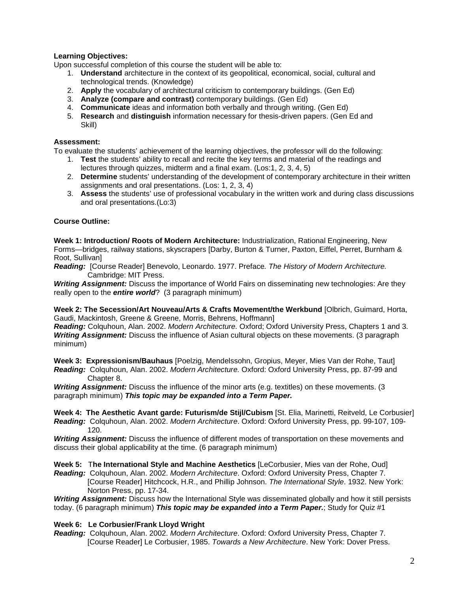# **Learning Objectives:**

Upon successful completion of this course the student will be able to:

- 1. **Understand** architecture in the context of its geopolitical, economical, social, cultural and technological trends. (Knowledge)
- 2. **Apply** the vocabulary of architectural criticism to contemporary buildings. (Gen Ed)
- 3. **Analyze (compare and contrast)** contemporary buildings. (Gen Ed)
- 4. **Communicate** ideas and information both verbally and through writing. (Gen Ed)
- 5. **Research** and **distinguish** information necessary for thesis-driven papers. (Gen Ed and Skill)

### **Assessment:**

To evaluate the students' achievement of the learning objectives, the professor will do the following:

- 1. **Test** the students' ability to recall and recite the key terms and material of the readings and lectures through quizzes, midterm and a final exam. (Los:1, 2, 3, 4, 5)
- 2. **Determine** students' understanding of the development of contemporary architecture in their written assignments and oral presentations. (Los: 1, 2, 3, 4)
- 3. **Assess** the students' use of professional vocabulary in the written work and during class discussions and oral presentations.(Lo:3)

## **Course Outline:**

**Week 1: Introduction/ Roots of Modern Architecture:** Industrialization, Rational Engineering, New Forms—bridges, railway stations, skyscrapers [Darby, Burton & Turner, Paxton, Eiffel, Perret, Burnham & Root, Sullivan]

*Reading:* [Course Reader] Benevolo, Leonardo. 1977. Preface*. The History of Modern Architecture.*  Cambridge: MIT Press.

*Writing Assignment:* Discuss the importance of World Fairs on disseminating new technologies: Are they really open to the *entire world*? (3 paragraph minimum)

**Week 2: The Secession/Art Nouveau/Arts & Crafts Movement/the Werkbund** [Olbrich, Guimard, Horta, Gaudi, Mackintosh, Greene & Greene, Morris, Behrens, Hoffmann]

*Reading:* Colquhoun, Alan. 2002. *Modern Architecture.* Oxford; Oxford University Press, Chapters 1 and 3. *Writing Assignment:* Discuss the influence of Asian cultural objects on these movements. (3 paragraph minimum)

**Week 3: Expressionism/Bauhaus** [Poelzig, Mendelssohn, Gropius, Meyer, Mies Van der Rohe, Taut] *Reading:* Colquhoun, Alan. 2002. *Modern Architecture.* Oxford: Oxford University Press, pp. 87-99 and Chapter 8.

*Writing Assignment:* Discuss the influence of the minor arts (e.g. textitles) on these movements. (3 paragraph minimum) *This topic may be expanded into a Term Paper.*

**Week 4: The Aesthetic Avant garde: Futurism/de Stijl/Cubism** [St. Elia, Marinetti, Reitveld, Le Corbusier] *Reading:* Colquhoun, Alan. 2002. *Modern Architecture*. Oxford: Oxford University Press, pp. 99-107, 109- 120.

*Writing Assignment:* Discuss the influence of different modes of transportation on these movements and discuss their global applicability at the time. (6 paragraph minimum)

**Week 5:** T**he International Style and Machine Aesthetics** [LeCorbusier, Mies van der Rohe, Oud] *Reading:* Colquhoun, Alan. 2002. *Modern Architecture*. Oxford: Oxford University Press, Chapter 7. [Course Reader] Hitchcock, H.R., and Phillip Johnson. *The International Style*. 1932. New York:

Norton Press, pp. 17-34. *Writing Assignment:* Discuss how the International Style was disseminated globally and how it still persists today. (6 paragraph minimum) *This topic may be expanded into a Term Paper.*; Study for Quiz #1

### **Week 6: Le Corbusier/Frank Lloyd Wright**

*Reading:* Colquhoun, Alan. 2002. *Modern Architecture*. Oxford: Oxford University Press, Chapter 7. [Course Reader] Le Corbusier, 1985. *Towards a New Architecture*. New York: Dover Press.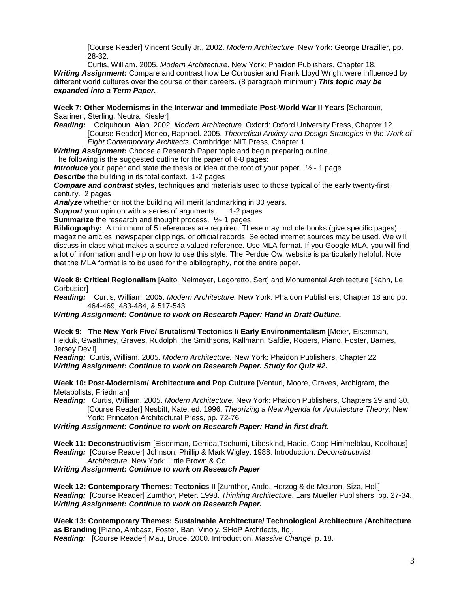[Course Reader] Vincent Scully Jr., 2002. *Modern Architecture*. New York: George Braziller, pp. 28-32.

Curtis, William. 2005. *Modern Architecture*. New York: Phaidon Publishers, Chapter 18. *Writing Assignment:* Compare and contrast how Le Corbusier and Frank Lloyd Wright were influenced by different world cultures over the course of their careers. (8 paragraph minimum) *This topic may be expanded into a Term Paper.*

**Week 7: Other Modernisms in the Interwar and Immediate Post-World War II Years** [Scharoun, Saarinen, Sterling, Neutra, Kiesler]

*Reading:* Colquhoun, Alan. 2002. *Modern Architecture*. Oxford: Oxford University Press, Chapter 12. [Course Reader] Moneo, Raphael. 2005. *Theoretical Anxiety and Design Strategies in the Work of Eight Contemporary Architects.* Cambridge: MIT Press, Chapter 1.

*Writing Assignment:* Choose a Research Paper topic and begin preparing outline.

The following is the suggested outline for the paper of 6-8 pages:

*Introduce* your paper and state the thesis or idea at the root of your paper. ½ - 1 page

*Describe* the building in its total context. 1-2 pages

*Compare and contrast* styles, techniques and materials used to those typical of the early twenty-first century. 2 pages

*Analyze* whether or not the building will merit landmarking in 30 years.

**Support** your opinion with a series of arguments. 1-2 pages

**Summarize** the research and thought process.  $\frac{1}{2}$ - 1 pages

**Bibliography:** A minimum of 5 references are required. These may include books (give specific pages), magazine articles, newspaper clippings, or official records. Selected internet sources may be used. We will discuss in class what makes a source a valued reference. Use MLA format. If you Google MLA, you will find a lot of information and help on how to use this style. The Perdue Owl website is particularly helpful. Note that the MLA format is to be used for the bibliography, not the entire paper.

**Week 8: Critical Regionalism** [Aalto, Neimeyer, Legoretto, Sert] and Monumental Architecture [Kahn, Le Corbusier]

*Reading:* Curtis, William. 2005. *Modern Architecture.* New York: Phaidon Publishers, Chapter 18 and pp. 464-469, 483-484, & 517-543.

*Writing Assignment: Continue to work on Research Paper: Hand in Draft Outline.*

**Week 9: The New York Five/ Brutalism/ Tectonics I/ Early Environmentalism** [Meier, Eisenman, Hejduk, Gwathmey, Graves, Rudolph, the Smithsons, Kallmann, Safdie, Rogers, Piano, Foster, Barnes, Jersey Devil]

*Reading:* Curtis, William. 2005. *Modern Architecture.* New York: Phaidon Publishers, Chapter 22 *Writing Assignment: Continue to work on Research Paper. Study for Quiz #2.* 

**Week 10: Post-Modernism/ Architecture and Pop Culture** [Venturi, Moore, Graves, Archigram, the Metabolists, Friedman]

*Reading:* Curtis, William. 2005. *Modern Architecture.* New York: Phaidon Publishers, Chapters 29 and 30. [Course Reader] Nesbitt, Kate, ed. 1996. *Theorizing a New Agenda for Architecture Theory*. New York: Princeton Architectural Press, pp. 72-76.

*Writing Assignment: Continue to work on Research Paper: Hand in first draft.*

**Week 11: Deconstructivism** [Eisenman, Derrida,Tschumi, Libeskind, Hadid, Coop Himmelblau, Koolhaus] *Reading:* [Course Reader] Johnson, Phillip & Mark Wigley. 1988. Introduction. *Deconstructivist Architecture.* New York: Little Brown & Co.

### *Writing Assignment: Continue to work on Research Paper*

**Week 12: Contemporary Themes: Tectonics II** [Zumthor, Ando, Herzog & de Meuron, Siza, Holl] *Reading:* [Course Reader] Zumthor, Peter. 1998. *Thinking Architecture*. Lars Mueller Publishers, pp. 27-34. *Writing Assignment: Continue to work on Research Paper.*

**Week 13: Contemporary Themes: Sustainable Architecture/ Technological Architecture /Architecture as Branding** [Piano, Ambasz, Foster, Ban, Vinoly, SHoP Architects, Ito]. *Reading:* [Course Reader] Mau, Bruce. 2000. Introduction. *Massive Change*, p. 18.